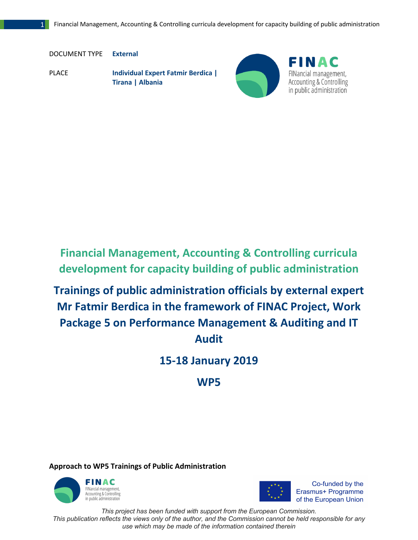DOCUMENT TYPE **External**

PLACE **Individual Expert Fatmir Berdica | Tirana | Albania** 



FINAC FINancial management, **Accounting & Controlling** in public administration

**Financial Management, Accounting & Controlling curricula development for capacity building of public administration**

**Trainings of public administration officials by external expert Mr Fatmir Berdica in the framework of FINAC Project, Work Package 5 on Performance Management & Auditing and IT Audit** 

**15-18 January 2019** 

**WP5**

**Approach to WP5 Trainings of Public Administration** 





Co-funded by the Erasmus+ Programme

*Thinistration*<br>This project has been funded with support from the European Commission.

*This publication reflects the views only of the author, and the Commission cannot be held responsible for any use which may be made of the information contained therein*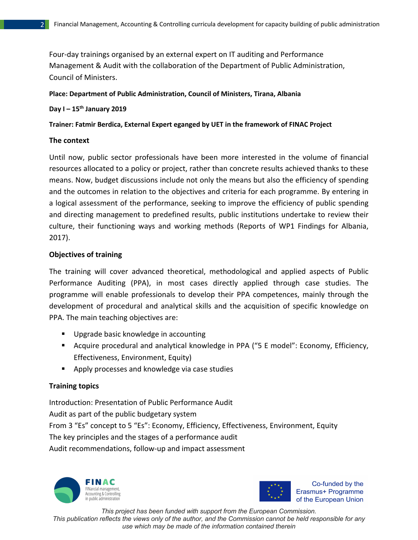Four-day trainings organised by an external expert on IT auditing and Performance Management & Audit with the collaboration of the Department of Public Administration, Council of Ministers.

### **Place: Department of Public Administration, Council of Ministers, Tirana, Albania**

## **Day I – 15th January 2019**

**Trainer: Fatmir Berdica, External Expert eganged by UET in the framework of FINAC Project** 

### **The context**

Until now, public sector professionals have been more interested in the volume of financial resources allocated to a policy or project, rather than concrete results achieved thanks to these means. Now, budget discussions include not only the means but also the efficiency of spending and the outcomes in relation to the objectives and criteria for each programme. By entering in a logical assessment of the performance, seeking to improve the efficiency of public spending and directing management to predefined results, public institutions undertake to review their culture, their functioning ways and working methods (Reports of WP1 Findings for Albania, 2017).

### **Objectives of training**

The training will cover advanced theoretical, methodological and applied aspects of Public Performance Auditing (PPA), in most cases directly applied through case studies. The programme will enable professionals to develop their PPA competences, mainly through the development of procedural and analytical skills and the acquisition of specific knowledge on PPA. The main teaching objectives are:

- Upgrade basic knowledge in accounting
- Acquire procedural and analytical knowledge in PPA ("5 E model": Economy, Efficiency, Effectiveness, Environment, Equity)
- Apply processes and knowledge via case studies

## **Training topics**

Introduction: Presentation of Public Performance Audit Audit as part of the public budgetary system From 3 "Es" concept to 5 "Es": Economy, Efficiency, Effectiveness, Environment, Equity The key principles and the stages of a performance audit Audit recommendations, follow-up and impact assessment





Co-funded by the Erasmus+ Programme

*Thinistration*<br>This project has been funded with support from the European Commission.

*This publication reflects the views only of the author, and the Commission cannot be held responsible for any use which may be made of the information contained therein*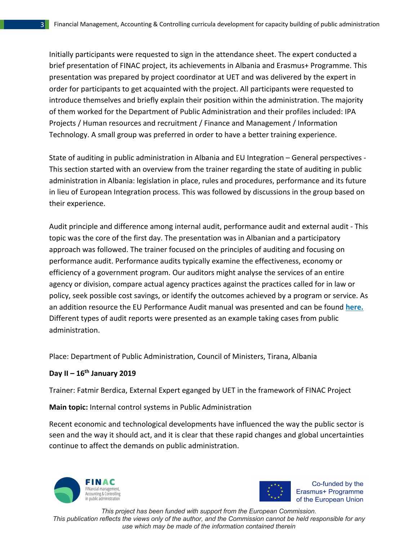Initially participants were requested to sign in the attendance sheet. The expert conducted a brief presentation of FINAC project, its achievements in Albania and Erasmus+ Programme. This presentation was prepared by project coordinator at UET and was delivered by the expert in order for participants to get acquainted with the project. All participants were requested to introduce themselves and briefly explain their position within the administration. The majority of them worked for the Department of Public Administration and their profiles included: IPA Projects / Human resources and recruitment / Finance and Management / Information Technology. A small group was preferred in order to have a better training experience.

State of auditing in public administration in Albania and EU Integration – General perspectives - This section started with an overview from the trainer regarding the state of auditing in public administration in Albania: legislation in place, rules and procedures, performance and its future in lieu of European Integration process. This was followed by discussions in the group based on their experience.

Audit principle and difference among internal audit, performance audit and external audit - This topic was the core of the first day. The presentation was in Albanian and a participatory approach was followed. The trainer focused on the principles of auditing and focusing on performance audit. Performance audits typically examine the effectiveness, economy or efficiency of a government program. Our auditors might analyse the services of an entire agency or division, compare actual agency practices against the practices called for in law or policy, seek possible cost savings, or identify the outcomes achieved by a program or service. As an addition resource the EU Performance Audit manual was presented and can be found **here.**  Different types of audit reports were presented as an example taking cases from public administration.

Place: Department of Public Administration, Council of Ministers, Tirana, Albania

## **Day II – 16th January 2019**

Trainer: Fatmir Berdica, External Expert eganged by UET in the framework of FINAC Project

#### **Main topic:** Internal control systems in Public Administration

Recent economic and technological developments have influenced the way the public sector is seen and the way it should act, and it is clear that these rapid changes and global uncertainties continue to affect the demands on public administration.





Co-funded by the Erasmus+ Programme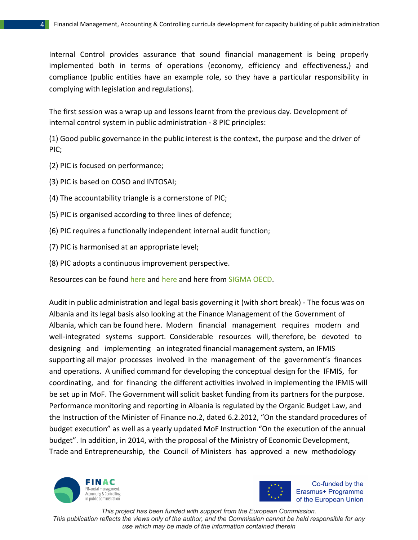Internal Control provides assurance that sound financial management is being properly implemented both in terms of operations (economy, efficiency and effectiveness,) and compliance (public entities have an example role, so they have a particular responsibility in complying with legislation and regulations).

The first session was a wrap up and lessons learnt from the previous day. Development of internal control system in public administration - 8 PIC principles:

(1) Good public governance in the public interest is the context, the purpose and the driver of PIC;

- (2) PIC is focused on performance;
- (3) PIC is based on COSO and INTOSAI;
- (4) The accountability triangle is a cornerstone of PIC;
- (5) PIC is organised according to three lines of defence;
- (6) PIC requires a functionally independent internal audit function;
- (7) PIC is harmonised at an appropriate level;
- (8) PIC adopts a continuous improvement perspective.

Resources can be found here and here and here from SIGMA OECD.

Audit in public administration and legal basis governing it (with short break) - The focus was on Albania and its legal basis also looking at the Finance Management of the Government of Albania, which can be found here. Modern financial management requires modern and well-integrated systems support. Considerable resources will, therefore, be devoted to designing and implementing an integrated financial management system, an IFMIS supporting all major processes involved in the management of the government's finances and operations. A unified command for developing the conceptual design for the IFMIS, for coordinating, and for financing the different activities involved in implementing the IFMIS will be set up in MoF. The Government will solicit basket funding from its partners for the purpose. Performance monitoring and reporting in Albania is regulated by the Organic Budget Law, and the Instruction of the Minister of Finance no.2, dated 6.2.2012, "On the standard procedures of budget execution" as well as a yearly updated MoF Instruction "On the execution of the annual budget". In addition, in 2014, with the proposal of the Ministry of Economic Development, Trade and Entrepreneurship, the Council of Ministers has approved a new methodology





Co-funded by the Erasmus+ Programme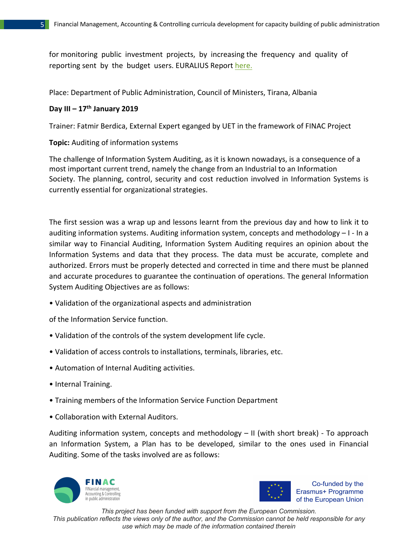for monitoring public investment projects, by increasing the frequency and quality of reporting sent by the budget users. EURALIUS Report here.

Place: Department of Public Administration, Council of Ministers, Tirana, Albania

# **Day III – 17th January 2019**

Trainer: Fatmir Berdica, External Expert eganged by UET in the framework of FINAC Project

**Topic:** Auditing of information systems

The challenge of Information System Auditing, as it is known nowadays, is a consequence of a most important current trend, namely the change from an Industrial to an Information Society. The planning, control, security and cost reduction involved in Information Systems is currently essential for organizational strategies.

The first session was a wrap up and lessons learnt from the previous day and how to link it to auditing information systems. Auditing information system, concepts and methodology – I - In a similar way to Financial Auditing, Information System Auditing requires an opinion about the Information Systems and data that they process. The data must be accurate, complete and authorized. Errors must be properly detected and corrected in time and there must be planned and accurate procedures to guarantee the continuation of operations. The general Information System Auditing Objectives are as follows:

• Validation of the organizational aspects and administration

of the Information Service function.

- Validation of the controls of the system development life cycle.
- Validation of access controls to installations, terminals, libraries, etc.
- Automation of Internal Auditing activities.
- Internal Training.
- Training members of the Information Service Function Department
- Collaboration with External Auditors.

Auditing information system, concepts and methodology – II (with short break) - To approach an Information System, a Plan has to be developed, similar to the ones used in Financial Auditing. Some of the tasks involved are as follows:





Co-funded by the Erasmus+ Programme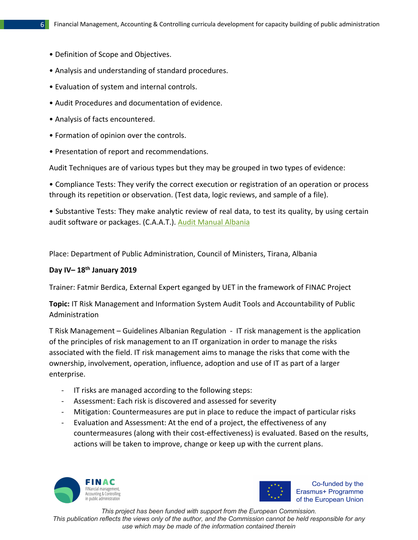- Definition of Scope and Objectives.
- Analysis and understanding of standard procedures.
- Evaluation of system and internal controls.
- Audit Procedures and documentation of evidence.
- Analysis of facts encountered.
- Formation of opinion over the controls.
- Presentation of report and recommendations.

Audit Techniques are of various types but they may be grouped in two types of evidence:

• Compliance Tests: They verify the correct execution or registration of an operation or process through its repetition or observation. (Test data, logic reviews, and sample of a file).

• Substantive Tests: They make analytic review of real data, to test its quality, by using certain audit software or packages. (C.A.A.T.). Audit Manual Albania

Place: Department of Public Administration, Council of Ministers, Tirana, Albania

# **Day IV– 18th January 2019**

Trainer: Fatmir Berdica, External Expert eganged by UET in the framework of FINAC Project

**Topic:** IT Risk Management and Information System Audit Tools and Accountability of Public Administration

T Risk Management – Guidelines Albanian Regulation - IT risk management is the application of the principles of risk management to an IT organization in order to manage the risks associated with the field. IT risk management aims to manage the risks that come with the ownership, involvement, operation, influence, adoption and use of IT as part of a larger enterprise.

- IT risks are managed according to the following steps:
- Assessment: Each risk is discovered and assessed for severity
- Mitigation: Countermeasures are put in place to reduce the impact of particular risks
- Evaluation and Assessment: At the end of a project, the effectiveness of any countermeasures (along with their cost-effectiveness) is evaluated. Based on the results, actions will be taken to improve, change or keep up with the current plans.





Co-funded by the Erasmus+ Programme

*Thinistration*<br>This project has been funded with support from the European Commission.

*This publication reflects the views only of the author, and the Commission cannot be held responsible for any use which may be made of the information contained therein*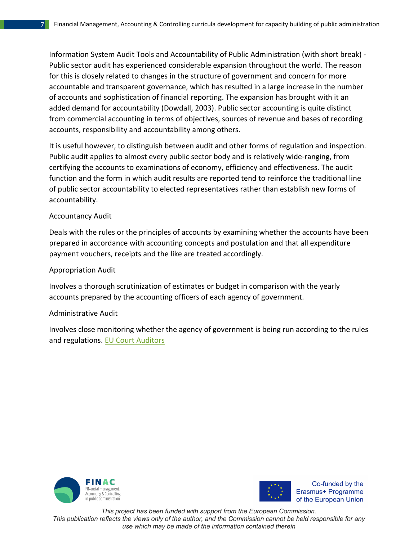Information System Audit Tools and Accountability of Public Administration (with short break) - Public sector audit has experienced considerable expansion throughout the world. The reason for this is closely related to changes in the structure of government and concern for more accountable and transparent governance, which has resulted in a large increase in the number of accounts and sophistication of financial reporting. The expansion has brought with it an added demand for accountability (Dowdall, 2003). Public sector accounting is quite distinct from commercial accounting in terms of objectives, sources of revenue and bases of recording accounts, responsibility and accountability among others.

It is useful however, to distinguish between audit and other forms of regulation and inspection. Public audit applies to almost every public sector body and is relatively wide-ranging, from certifying the accounts to examinations of economy, efficiency and effectiveness. The audit function and the form in which audit results are reported tend to reinforce the traditional line of public sector accountability to elected representatives rather than establish new forms of accountability.

#### Accountancy Audit

Deals with the rules or the principles of accounts by examining whether the accounts have been prepared in accordance with accounting concepts and postulation and that all expenditure payment vouchers, receipts and the like are treated accordingly.

### Appropriation Audit

Involves a thorough scrutinization of estimates or budget in comparison with the yearly accounts prepared by the accounting officers of each agency of government.

#### Administrative Audit

Involves close monitoring whether the agency of government is being run according to the rules and regulations. EU Court Auditors





Co-funded by the Erasmus+ Programme